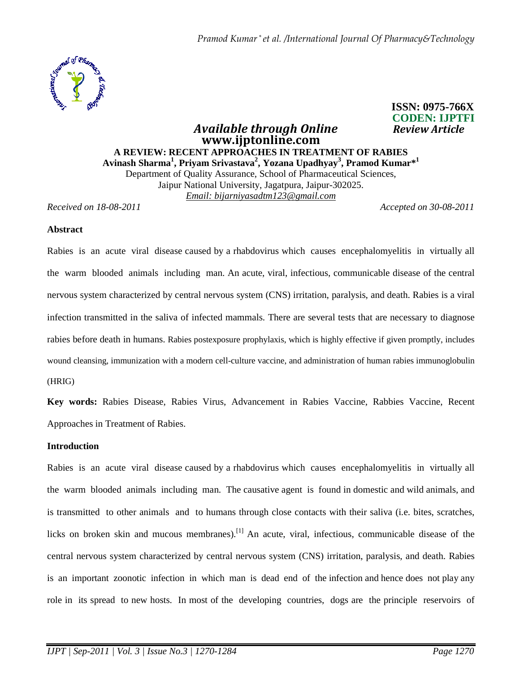

## **CODEN: IJPTFI**  *Available through Online* **www.ijptonline.com A REVIEW: RECENT APPROACHES IN TREATMENT OF RABIES Avinash Sharma<sup>1</sup> , Priyam Srivastava<sup>2</sup> , Yozana Upadhyay<sup>3</sup> , Pramod Kumar\*<sup>1</sup>** Department of Quality Assurance, School of Pharmaceutical Sciences, Jaipur National University, Jagatpura, Jaipur-302025. *Email: bijarniyasadtm123@gmail.com*

*Received on 18-08-2011 Accepted on 30-08-2011*

 **ISSN: 0975-766X**

### **Abstract**

Rabies is an acute viral disease caused by a rhabdovirus which causes encephalomyelitis in virtually all the warm blooded animals including man. An acute, viral, infectious, communicable disease of the central nervous system characterized by central nervous system (CNS) irritation, paralysis, and death. Rabies is a viral infection transmitted in the saliva of infected mammals. There are several tests that are necessary to diagnose rabies before death in humans. Rabies postexposure prophylaxis, which is highly effective if given promptly, includes wound cleansing, immunization with a modern cell-culture vaccine, and administration of human rabies immunoglobulin (HRIG)

**Key words:** Rabies Disease, Rabies Virus, Advancement in Rabies Vaccine, Rabbies Vaccine, Recent Approaches in Treatment of Rabies.

### **Introduction**

Rabies is an acute viral disease caused by a rhabdovirus which causes encephalomyelitis in virtually all the warm blooded animals including man. The causative agent is found in domestic and wild animals, and is transmitted to other animals and to humans through close contacts with their saliva (i.e. bites, scratches, licks on broken skin and mucous membranes).<sup>[1]</sup> An acute, viral, infectious, communicable disease of the central nervous system characterized by central nervous system (CNS) irritation, paralysis, and death. Rabies is an important zoonotic infection in which man is dead end of the infection and hence does not play any role in its spread to new hosts. In most of the developing countries, dogs are the principle reservoirs of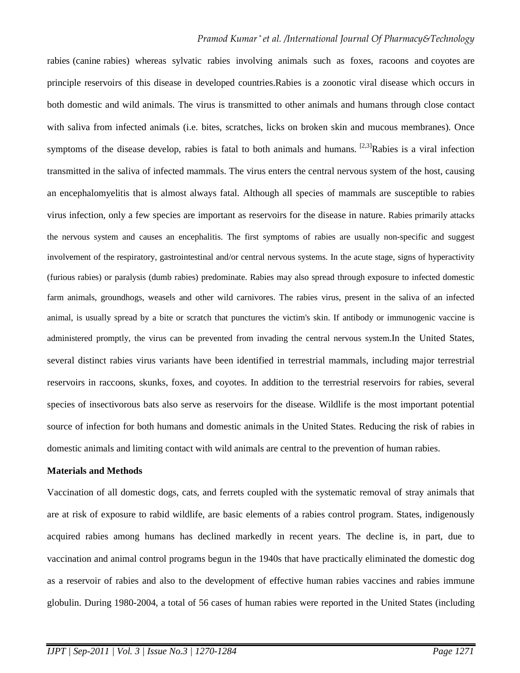rabies (canine rabies) whereas sylvatic rabies involving animals such as foxes, racoons and coyotes are principle reservoirs of this disease in developed countries.Rabies is a zoonotic viral disease which occurs in both domestic and wild animals. The virus is transmitted to other animals and humans through close contact with saliva from infected animals (i.e. bites, scratches, licks on broken skin and mucous membranes). Once symptoms of the disease develop, rabies is fatal to both animals and humans.  $[2,3]$ Rabies is a viral infection transmitted in the saliva of infected mammals. The virus enters the central nervous system of the host, causing an encephalomyelitis that is almost always fatal. Although all species of mammals are susceptible to rabies virus infection, only a few species are important as reservoirs for the disease in nature. Rabies primarily attacks the nervous system and causes an encephalitis. The first symptoms of rabies are usually non-specific and suggest involvement of the respiratory, gastrointestinal and/or central nervous systems. In the acute stage, signs of hyperactivity (furious rabies) or paralysis (dumb rabies) predominate. Rabies may also spread through exposure to infected domestic farm animals, groundhogs, weasels and other wild carnivores. The rabies virus, present in the saliva of an infected animal, is usually spread by a bite or scratch that punctures the victim's skin. If antibody or immunogenic vaccine is administered promptly, the virus can be prevented from invading the central nervous system.In the United States, several distinct rabies virus variants have been identified in terrestrial mammals, including major terrestrial reservoirs in raccoons, skunks, foxes, and coyotes. In addition to the terrestrial reservoirs for rabies, several species of insectivorous bats also serve as reservoirs for the disease. Wildlife is the most important potential source of infection for both humans and domestic animals in the United States. Reducing the risk of rabies in domestic animals and limiting contact with wild animals are central to the prevention of human rabies.

### **Materials and Methods**

Vaccination of all domestic dogs, cats, and ferrets coupled with the systematic removal of stray animals that are at risk of exposure to rabid wildlife, are basic elements of a rabies control program. States, indigenously acquired rabies among humans has declined markedly in recent years. The decline is, in part, due to vaccination and animal control programs begun in the 1940s that have practically eliminated the domestic dog as a reservoir of rabies and also to the development of effective human rabies vaccines and rabies immune globulin. During 1980-2004, a total of 56 cases of human rabies were reported in the United States (including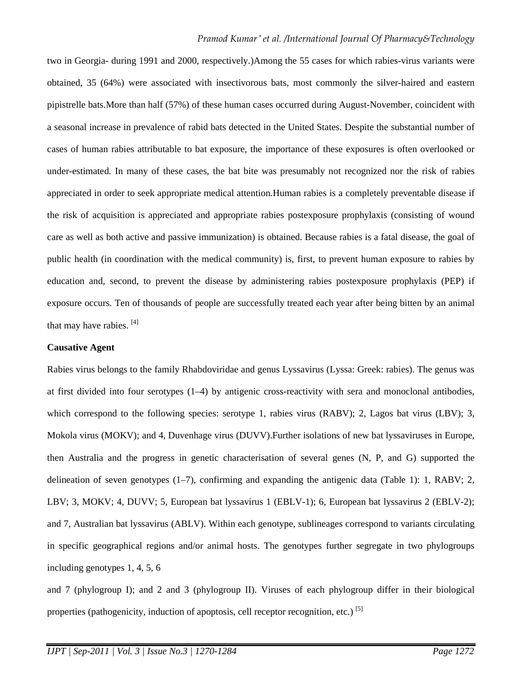two in Georgia- during 1991 and 2000, respectively.)Among the 55 cases for which rabies-virus variants were obtained, 35 (64%) were associated with insectivorous bats, most commonly the silver-haired and eastern pipistrelle bats.More than half (57%) of these human cases occurred during August-November, coincident with a seasonal increase in prevalence of rabid bats detected in the United States. Despite the substantial number of cases of human rabies attributable to bat exposure, the importance of these exposures is often overlooked or under-estimated. In many of these cases, the bat bite was presumably not recognized nor the risk of rabies appreciated in order to seek appropriate medical attention.Human rabies is a completely preventable disease if the risk of acquisition is appreciated and appropriate rabies postexposure prophylaxis (consisting of wound care as well as both active and passive immunization) is obtained. Because rabies is a fatal disease, the goal of public health (in coordination with the medical community) is, first, to prevent human exposure to rabies by education and, second, to prevent the disease by administering rabies postexposure prophylaxis (PEP) if exposure occurs. Ten of thousands of people are successfully treated each year after being bitten by an animal that may have rabies.  $[4]$ 

### **Causative Agent**

Rabies virus belongs to the family Rhabdoviridae and genus Lyssavirus (Lyssa: Greek: rabies). The genus was at first divided into four serotypes (1–4) by antigenic cross-reactivity with sera and monoclonal antibodies, which correspond to the following species: serotype 1, rabies virus (RABV); 2, Lagos bat virus (LBV); 3, Mokola virus (MOKV); and 4, Duvenhage virus (DUVV).Further isolations of new bat lyssaviruses in Europe, then Australia and the progress in genetic characterisation of several genes (N, P, and G) supported the delineation of seven genotypes  $(1-7)$ , confirming and expanding the antigenic data (Table 1): 1, RABV; 2, LBV; 3, MOKV; 4, DUVV; 5, European bat lyssavirus 1 (EBLV-1); 6, European bat lyssavirus 2 (EBLV-2); and 7, Australian bat lyssavirus (ABLV). Within each genotype, sublineages correspond to variants circulating in specific geographical regions and/or animal hosts. The genotypes further segregate in two phylogroups including genotypes 1, 4, 5, 6

and 7 (phylogroup I); and 2 and 3 (phylogroup II). Viruses of each phylogroup differ in their biological properties (pathogenicity, induction of apoptosis, cell receptor recognition, etc.)<sup>[5]</sup>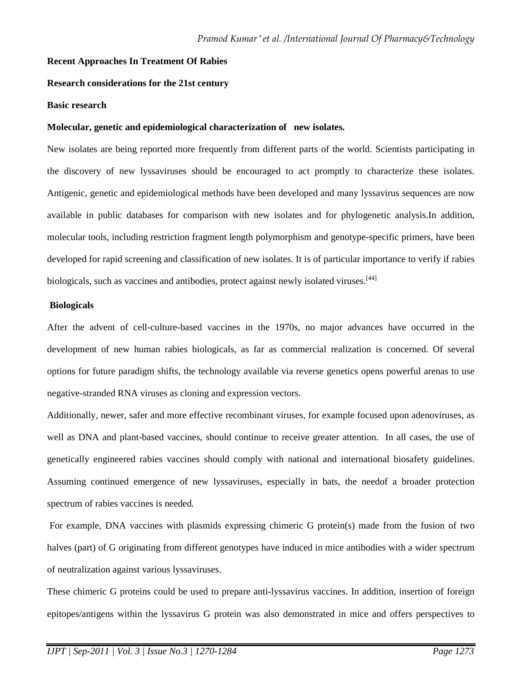## **Recent Approaches In Treatment Of Rabies**

## **Research considerations for the 21st century**

#### **Basic research**

### **Molecular, genetic and epidemiological characterization of new isolates.**

New isolates are being reported more frequently from different parts of the world. Scientists participating in the discovery of new lyssaviruses should be encouraged to act promptly to characterize these isolates. Antigenic, genetic and epidemiological methods have been developed and many lyssavirus sequences are now available in public databases for comparison with new isolates and for phylogenetic analysis.In addition, molecular tools, including restriction fragment length polymorphism and genotype-specific primers, have been developed for rapid screening and classification of new isolates. It is of particular importance to verify if rabies biologicals, such as vaccines and antibodies, protect against newly isolated viruses.<sup>[44]</sup>

#### **Biologicals**

After the advent of cell-culture-based vaccines in the 1970s, no major advances have occurred in the development of new human rabies biologicals, as far as commercial realization is concerned. Of several options for future paradigm shifts, the technology available via reverse genetics opens powerful arenas to use negative-stranded RNA viruses as cloning and expression vectors.

Additionally, newer, safer and more effective recombinant viruses, for example focused upon adenoviruses, as well as DNA and plant-based vaccines, should continue to receive greater attention. In all cases, the use of genetically engineered rabies vaccines should comply with national and international biosafety guidelines. Assuming continued emergence of new lyssaviruses, especially in bats, the needof a broader protection spectrum of rabies vaccines is needed.

 For example, DNA vaccines with plasmids expressing chimeric G protein(s) made from the fusion of two halves (part) of G originating from different genotypes have induced in mice antibodies with a wider spectrum of neutralization against various lyssaviruses.

These chimeric G proteins could be used to prepare anti-lyssavirus vaccines. In addition, insertion of foreign epitopes/antigens within the lyssavirus G protein was also demonstrated in mice and offers perspectives to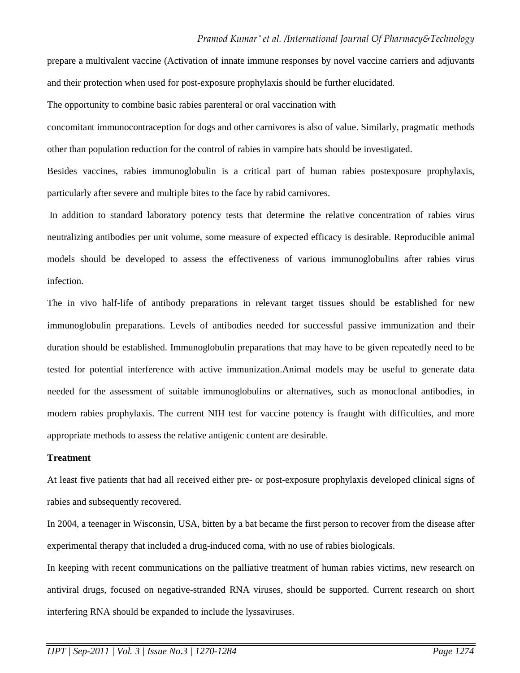prepare a multivalent vaccine (Activation of innate immune responses by novel vaccine carriers and adjuvants and their protection when used for post-exposure prophylaxis should be further elucidated.

The opportunity to combine basic rabies parenteral or oral vaccination with

concomitant immunocontraception for dogs and other carnivores is also of value. Similarly, pragmatic methods other than population reduction for the control of rabies in vampire bats should be investigated.

Besides vaccines, rabies immunoglobulin is a critical part of human rabies postexposure prophylaxis, particularly after severe and multiple bites to the face by rabid carnivores.

 In addition to standard laboratory potency tests that determine the relative concentration of rabies virus neutralizing antibodies per unit volume, some measure of expected efficacy is desirable. Reproducible animal models should be developed to assess the effectiveness of various immunoglobulins after rabies virus infection.

The in vivo half-life of antibody preparations in relevant target tissues should be established for new immunoglobulin preparations. Levels of antibodies needed for successful passive immunization and their duration should be established. Immunoglobulin preparations that may have to be given repeatedly need to be tested for potential interference with active immunization.Animal models may be useful to generate data needed for the assessment of suitable immunoglobulins or alternatives, such as monoclonal antibodies, in modern rabies prophylaxis. The current NIH test for vaccine potency is fraught with difficulties, and more appropriate methods to assess the relative antigenic content are desirable.

# **Treatment**

At least five patients that had all received either pre- or post-exposure prophylaxis developed clinical signs of rabies and subsequently recovered.

In 2004, a teenager in Wisconsin, USA, bitten by a bat became the first person to recover from the disease after experimental therapy that included a drug-induced coma, with no use of rabies biologicals.

In keeping with recent communications on the palliative treatment of human rabies victims, new research on antiviral drugs, focused on negative-stranded RNA viruses, should be supported. Current research on short interfering RNA should be expanded to include the lyssaviruses.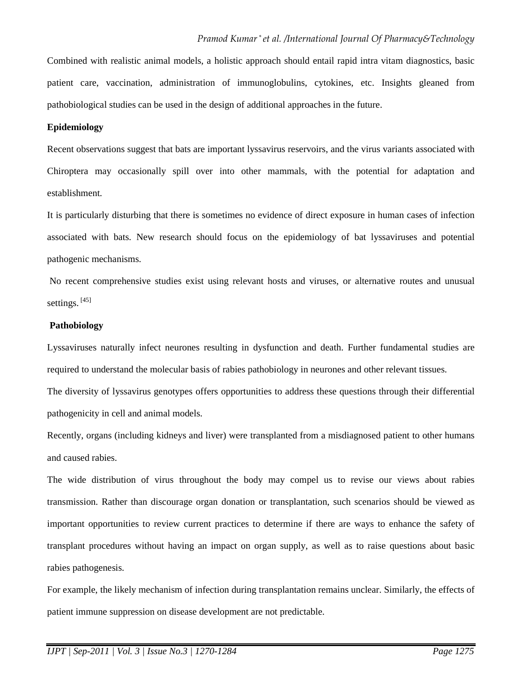Combined with realistic animal models, a holistic approach should entail rapid intra vitam diagnostics, basic patient care, vaccination, administration of immunoglobulins, cytokines, etc. Insights gleaned from pathobiological studies can be used in the design of additional approaches in the future.

### **Epidemiology**

Recent observations suggest that bats are important lyssavirus reservoirs, and the virus variants associated with Chiroptera may occasionally spill over into other mammals, with the potential for adaptation and establishment.

It is particularly disturbing that there is sometimes no evidence of direct exposure in human cases of infection associated with bats. New research should focus on the epidemiology of bat lyssaviruses and potential pathogenic mechanisms.

 No recent comprehensive studies exist using relevant hosts and viruses, or alternative routes and unusual settings.<sup>[45]</sup>

# **Pathobiology**

Lyssaviruses naturally infect neurones resulting in dysfunction and death. Further fundamental studies are required to understand the molecular basis of rabies pathobiology in neurones and other relevant tissues.

The diversity of lyssavirus genotypes offers opportunities to address these questions through their differential pathogenicity in cell and animal models.

Recently, organs (including kidneys and liver) were transplanted from a misdiagnosed patient to other humans and caused rabies.

The wide distribution of virus throughout the body may compel us to revise our views about rabies transmission. Rather than discourage organ donation or transplantation, such scenarios should be viewed as important opportunities to review current practices to determine if there are ways to enhance the safety of transplant procedures without having an impact on organ supply, as well as to raise questions about basic rabies pathogenesis.

For example, the likely mechanism of infection during transplantation remains unclear. Similarly, the effects of patient immune suppression on disease development are not predictable.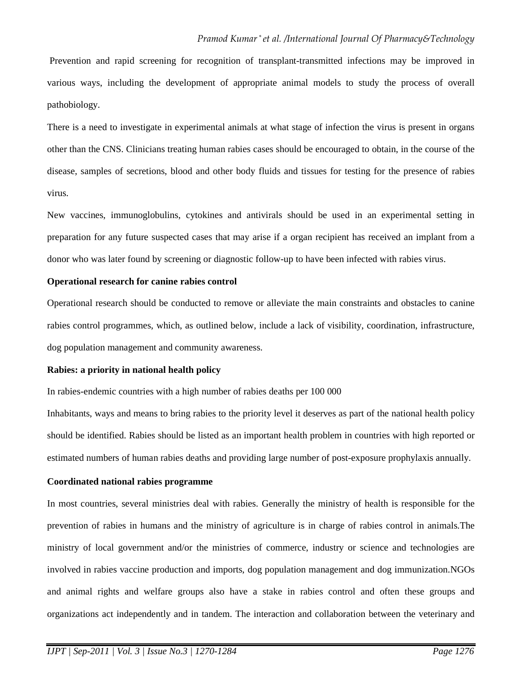Prevention and rapid screening for recognition of transplant-transmitted infections may be improved in various ways, including the development of appropriate animal models to study the process of overall pathobiology.

There is a need to investigate in experimental animals at what stage of infection the virus is present in organs other than the CNS. Clinicians treating human rabies cases should be encouraged to obtain, in the course of the disease, samples of secretions, blood and other body fluids and tissues for testing for the presence of rabies virus.

New vaccines, immunoglobulins, cytokines and antivirals should be used in an experimental setting in preparation for any future suspected cases that may arise if a organ recipient has received an implant from a donor who was later found by screening or diagnostic follow-up to have been infected with rabies virus.

## **Operational research for canine rabies control**

Operational research should be conducted to remove or alleviate the main constraints and obstacles to canine rabies control programmes, which, as outlined below, include a lack of visibility, coordination, infrastructure, dog population management and community awareness.

# **Rabies: a priority in national health policy**

In rabies-endemic countries with a high number of rabies deaths per 100 000

Inhabitants, ways and means to bring rabies to the priority level it deserves as part of the national health policy should be identified. Rabies should be listed as an important health problem in countries with high reported or estimated numbers of human rabies deaths and providing large number of post-exposure prophylaxis annually.

# **Coordinated national rabies programme**

In most countries, several ministries deal with rabies. Generally the ministry of health is responsible for the prevention of rabies in humans and the ministry of agriculture is in charge of rabies control in animals.The ministry of local government and/or the ministries of commerce, industry or science and technologies are involved in rabies vaccine production and imports, dog population management and dog immunization.NGOs and animal rights and welfare groups also have a stake in rabies control and often these groups and organizations act independently and in tandem. The interaction and collaboration between the veterinary and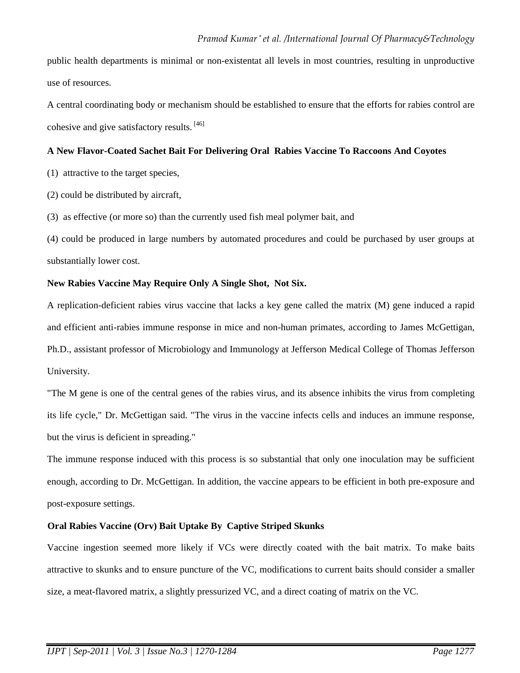public health departments is minimal or non-existentat all levels in most countries, resulting in unproductive use of resources.

A central coordinating body or mechanism should be established to ensure that the efforts for rabies control are cohesive and give satisfactory results. [46]

# **A New Flavor-Coated Sachet Bait For Delivering Oral Rabies Vaccine To Raccoons And Coyotes**

(1) attractive to the target species,

(2) could be distributed by aircraft,

(3) as effective (or more so) than the currently used fish meal polymer bait, and

(4) could be produced in large numbers by automated procedures and could be purchased by user groups at substantially lower cost.

# **New Rabies Vaccine May Require Only A Single Shot, Not Six.**

A replication-deficient rabies virus vaccine that lacks a key gene called the matrix (M) gene induced a rapid and efficient anti-rabies immune response in mice and non-human primates, according to James McGettigan, Ph.D., assistant professor of Microbiology and Immunology at Jefferson Medical College of Thomas Jefferson University.

"The M gene is one of the central genes of the rabies virus, and its absence inhibits the virus from completing its life cycle," Dr. McGettigan said. "The virus in the vaccine infects cells and induces an immune response, but the virus is deficient in spreading."

The immune response induced with this process is so substantial that only one inoculation may be sufficient enough, according to Dr. McGettigan. In addition, the vaccine appears to be efficient in both pre-exposure and post-exposure settings.

# [**Oral Rabies Vaccine (Orv) Bait Uptake By Captive Striped Skunks**

Vaccine ingestion seemed more likely if VCs were directly coated with the bait matrix. To make baits attractive to skunks and to ensure puncture of the VC, modifications to current baits should consider a smaller size, a meat-flavored matrix, a slightly pressurized VC, and a direct coating of matrix on the VC.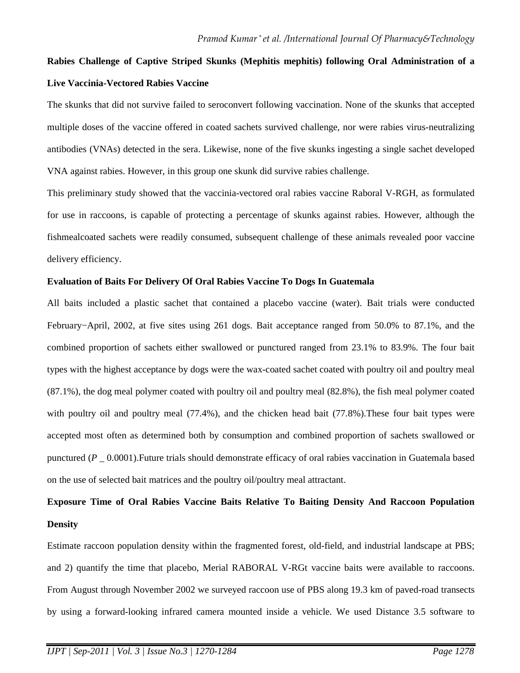# **Rabies Challenge of Captive Striped Skunks (Mephitis mephitis) following Oral Administration of a Live Vaccinia-Vectored Rabies Vaccine**

The skunks that did not survive failed to seroconvert following vaccination. None of the skunks that accepted multiple doses of the vaccine offered in coated sachets survived challenge, nor were rabies virus-neutralizing antibodies (VNAs) detected in the sera. Likewise, none of the five skunks ingesting a single sachet developed VNA against rabies. However, in this group one skunk did survive rabies challenge.

This preliminary study showed that the vaccinia-vectored oral rabies vaccine Raboral V-RGH, as formulated for use in raccoons, is capable of protecting a percentage of skunks against rabies. However, although the fishmealcoated sachets were readily consumed, subsequent challenge of these animals revealed poor vaccine delivery efficiency.

# **Evaluation of Baits For Delivery Of Oral Rabies Vaccine To Dogs In Guatemala**

All baits included a plastic sachet that contained a placebo vaccine (water). Bait trials were conducted February−April, 2002, at five sites using 261 dogs. Bait acceptance ranged from 50.0% to 87.1%, and the combined proportion of sachets either swallowed or punctured ranged from 23.1% to 83.9%. The four bait types with the highest acceptance by dogs were the wax-coated sachet coated with poultry oil and poultry meal (87.1%), the dog meal polymer coated with poultry oil and poultry meal (82.8%), the fish meal polymer coated with poultry oil and poultry meal (77.4%), and the chicken head bait (77.8%). These four bait types were accepted most often as determined both by consumption and combined proportion of sachets swallowed or punctured (*P* \_ 0.0001).Future trials should demonstrate efficacy of oral rabies vaccination in Guatemala based on the use of selected bait matrices and the poultry oil/poultry meal attractant.

# **Exposure Time of Oral Rabies Vaccine Baits Relative To Baiting Density And Raccoon Population Density**

Estimate raccoon population density within the fragmented forest, old-field, and industrial landscape at PBS; and 2) quantify the time that placebo, Merial RABORAL V-RGt vaccine baits were available to raccoons. From August through November 2002 we surveyed raccoon use of PBS along 19.3 km of paved-road transects by using a forward-looking infrared camera mounted inside a vehicle. We used Distance 3.5 software to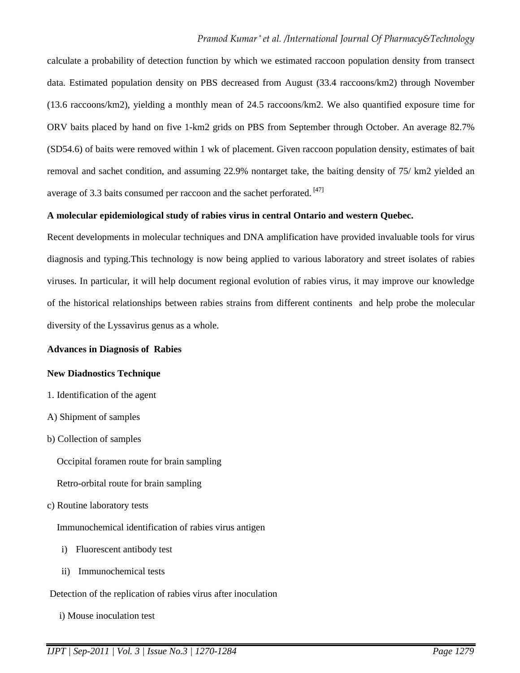calculate a probability of detection function by which we estimated raccoon population density from transect data. Estimated population density on PBS decreased from August (33.4 raccoons/km2) through November (13.6 raccoons/km2), yielding a monthly mean of 24.5 raccoons/km2. We also quantified exposure time for ORV baits placed by hand on five 1-km2 grids on PBS from September through October. An average 82.7% (SD54.6) of baits were removed within 1 wk of placement. Given raccoon population density, estimates of bait removal and sachet condition, and assuming 22.9% nontarget take, the baiting density of 75/ km2 yielded an average of 3.3 baits consumed per raccoon and the sachet perforated. [47]

# **A molecular epidemiological study of rabies virus in central Ontario and western Quebec.**

Recent developments in molecular techniques and DNA amplification have provided invaluable tools for virus diagnosis and typing.This technology is now being applied to various laboratory and street isolates of rabies viruses. In particular, it will help document regional evolution of rabies virus, it may improve our knowledge of the historical relationships between rabies strains from different continents and help probe the molecular diversity of the Lyssavirus genus as a whole.

# **Advances in Diagnosis of Rabies**

# **New Diadnostics Technique**

- 1. Identification of the agent
- A) Shipment of samples
- b) Collection of samples

Occipital foramen route for brain sampling

- Retro-orbital route for brain sampling
- c) Routine laboratory tests
	- Immunochemical identification of rabies virus antigen
	- i) Fluorescent antibody test
	- ii) Immunochemical tests
- Detection of the replication of rabies virus after inoculation
	- i) Mouse inoculation test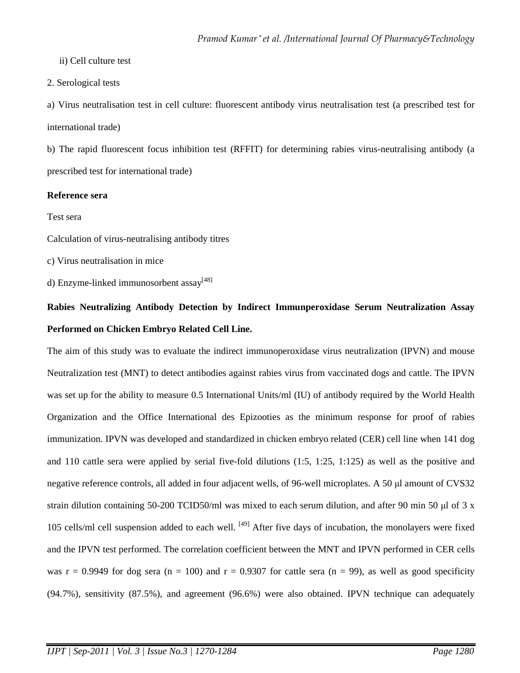ii) Cell culture test

2. Serological tests

a) Virus neutralisation test in cell culture: fluorescent antibody virus neutralisation test (a prescribed test for international trade)

b) The rapid fluorescent focus inhibition test (RFFIT) for determining rabies virus-neutralising antibody (a prescribed test for international trade)

# **Reference sera**

Test sera

Calculation of virus-neutralising antibody titres

c) Virus neutralisation in mice

d) Enzyme-linked immunosorbent  $assay^{[48]}$ 

# **Rabies Neutralizing Antibody Detection by Indirect Immunperoxidase Serum Neutralization Assay Performed on Chicken Embryo Related Cell Line.**

The aim of this study was to evaluate the indirect immunoperoxidase virus neutralization (IPVN) and mouse Neutralization test (MNT) to detect antibodies against rabies virus from vaccinated dogs and cattle. The IPVN was set up for the ability to measure 0.5 International Units/ml (IU) of antibody required by the World Health Organization and the Office International des Epizooties as the minimum response for proof of rabies immunization. IPVN was developed and standardized in chicken embryo related (CER) cell line when 141 dog and 110 cattle sera were applied by serial five-fold dilutions (1:5, 1:25, 1:125) as well as the positive and negative reference controls, all added in four adjacent wells, of 96-well microplates. A 50 µl amount of CVS32 strain dilution containing 50-200 TCID50/ml was mixed to each serum dilution, and after 90 min 50  $\mu$ l of 3 x 105 cells/ml cell suspension added to each well. [49] After five days of incubation, the monolayers were fixed and the IPVN test performed. The correlation coefficient between the MNT and IPVN performed in CER cells was  $r = 0.9949$  for dog sera (n = 100) and  $r = 0.9307$  for cattle sera (n = 99), as well as good specificity (94.7%), sensitivity (87.5%), and agreement (96.6%) were also obtained. IPVN technique can adequately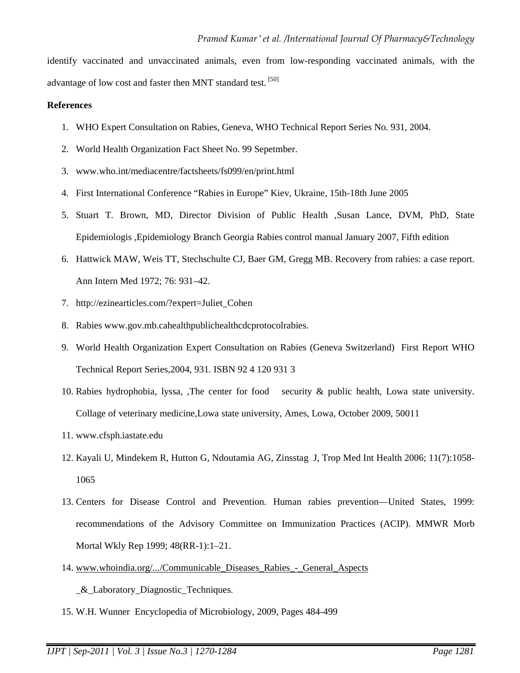identify vaccinated and unvaccinated animals, even from low-responding vaccinated animals, with the advantage of low cost and faster then MNT standard test. <sup>[50]</sup>

## **References**

- 1. WHO Expert Consultation on Rabies, Geneva, WHO Technical Report Series No. 931, 2004.
- 2. World Health Organization Fact Sheet No. 99 Sepetmber.
- 3. www.who.int/mediacentre/factsheets/fs099/en/print.html
- 4. First International Conference "Rabies in Europe" Kiev, Ukraine, 15th-18th June 2005
- 5. Stuart T. Brown, MD, Director Division of Public Health ,Susan Lance, DVM, PhD, State Epidemiologis ,Epidemiology Branch Georgia Rabies control manual January 2007, Fifth edition
- 6. Hattwick MAW, Weis TT, Stechschulte CJ, Baer GM, Gregg MB. Recovery from rabies: a case report. Ann Intern Med 1972; 76: 931–42.
- 7. http://ezinearticles.com/?expert=Juliet\_Cohen
- 8. Rabies www.gov.mb.cahealthpublichealthcdcprotocolrabies.
- 9. World Health Organization Expert Consultation on Rabies (Geneva Switzerland) First Report WHO Technical Report Series,2004, 931. ISBN 92 4 120 931 3
- 10. Rabies hydrophobia, lyssa, ,The center for food security & public health, Lowa state university. Collage of veterinary medicine,Lowa state university, Ames, Lowa, October 2009, 50011
- 11. www.cfsph.iastate.edu
- 12. Kayali U, Mindekem R, Hutton G, Ndoutamia AG, Zinsstag J, Trop Med Int Health 2006; 11(7):1058- 1065
- 13. Centers for Disease Control and Prevention. Human rabies prevention—United States, 1999: recommendations of the Advisory Committee on Immunization Practices (ACIP). MMWR Morb Mortal Wkly Rep 1999; 48(RR-1):1–21.
- 14. www.whoindia.org/.../Communicable\_Diseases\_Rabies\_-\_General\_Aspects

\_&\_Laboratory\_Diagnostic\_Techniques.

15. W.H. Wunner Encyclopedia of Microbiology, 2009, Pages 484-499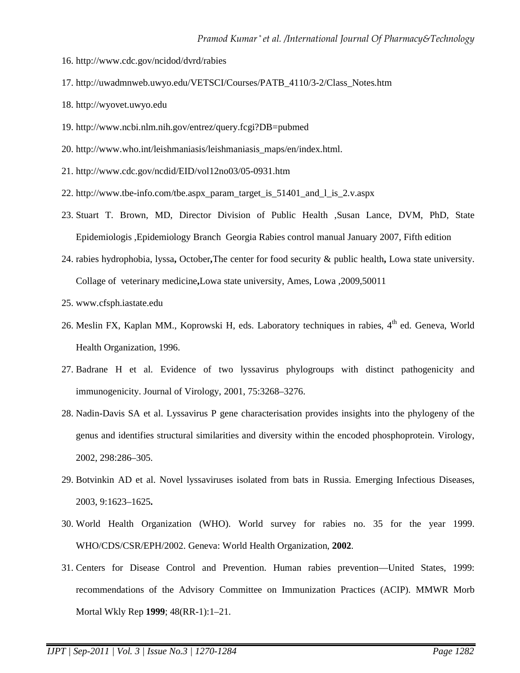- 16. http://www.cdc.gov/ncidod/dvrd/rabies
- 17. http://uwadmnweb.uwyo.edu/VETSCI/Courses/PATB\_4110/3-2/Class\_Notes.htm
- 18. http://wyovet.uwyo.edu
- 19. http://www.ncbi.nlm.nih.gov/entrez/query.fcgi?DB=pubmed
- 20. http://www.who.int/leishmaniasis/leishmaniasis\_maps/en/index.html.
- 21. http://www.cdc.gov/ncdid/EID/vol12no03/05-0931.htm
- 22. http://www.tbe-info.com/tbe.aspx\_param\_target\_is\_51401\_and\_l\_is\_2.v.aspx
- 23. Stuart T. Brown, MD, Director Division of Public Health ,Susan Lance, DVM, PhD, State Epidemiologis ,Epidemiology Branch Georgia Rabies control manual January 2007, Fifth edition
- 24. rabies hydrophobia, lyssa**,** October**,**The center for food security & public health**,** Lowa state university. Collage of veterinary medicine**,**Lowa state university, Ames, Lowa ,2009,50011
- 25. www.cfsph.iastate.edu
- 26. Meslin FX, Kaplan MM., Koprowski H, eds. Laboratory techniques in rabies, 4<sup>th</sup> ed. Geneva, World Health Organization, 1996.
- 27. Badrane H et al. Evidence of two lyssavirus phylogroups with distinct pathogenicity and immunogenicity. Journal of Virology, 2001, 75:3268–3276.
- 28. Nadin-Davis SA et al. Lyssavirus P gene characterisation provides insights into the phylogeny of the genus and identifies structural similarities and diversity within the encoded phosphoprotein. Virology, 2002, 298:286–305.
- 29. Botvinkin AD et al. Novel lyssaviruses isolated from bats in Russia. Emerging Infectious Diseases, 2003, 9:1623–1625**.**
- 30. World Health Organization (WHO). World survey for rabies no. 35 for the year 1999. WHO/CDS/CSR/EPH/2002. Geneva: World Health Organization, **2002**.
- 31. Centers for Disease Control and Prevention. Human rabies prevention—United States, 1999: recommendations of the Advisory Committee on Immunization Practices (ACIP). MMWR Morb Mortal Wkly Rep **1999**; 48(RR-1):1–21.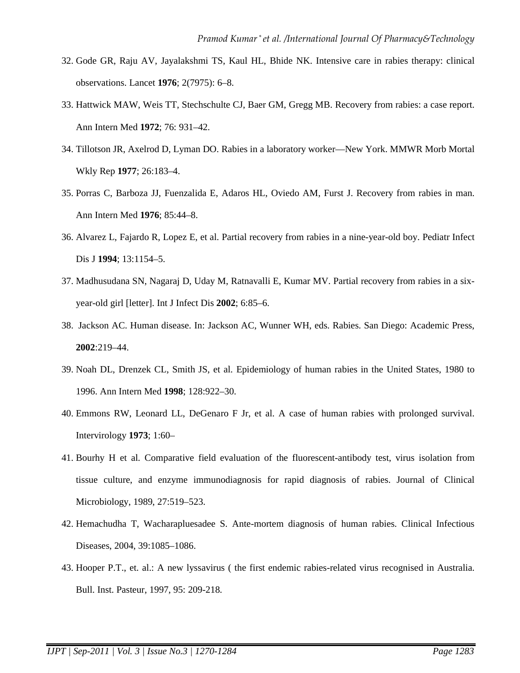- 32. Gode GR, Raju AV, Jayalakshmi TS, Kaul HL, Bhide NK. Intensive care in rabies therapy: clinical observations. Lancet **1976**; 2(7975): 6–8.
- 33. Hattwick MAW, Weis TT, Stechschulte CJ, Baer GM, Gregg MB. Recovery from rabies: a case report. Ann Intern Med **1972**; 76: 931–42.
- 34. Tillotson JR, Axelrod D, Lyman DO. Rabies in a laboratory worker—New York. MMWR Morb Mortal Wkly Rep **1977**; 26:183–4.
- 35. Porras C, Barboza JJ, Fuenzalida E, Adaros HL, Oviedo AM, Furst J. Recovery from rabies in man. Ann Intern Med **1976**; 85:44–8.
- 36. Alvarez L, Fajardo R, Lopez E, et al. Partial recovery from rabies in a nine-year-old boy. Pediatr Infect Dis J **1994**; 13:1154–5.
- 37. Madhusudana SN, Nagaraj D, Uday M, Ratnavalli E, Kumar MV. Partial recovery from rabies in a sixyear-old girl [letter]. Int J Infect Dis **2002**; 6:85–6.
- 38. Jackson AC. Human disease. In: Jackson AC, Wunner WH, eds. Rabies. San Diego: Academic Press, **2002**:219–44.
- 39. Noah DL, Drenzek CL, Smith JS, et al. Epidemiology of human rabies in the United States, 1980 to 1996. Ann Intern Med **1998**; 128:922–30.
- 40. Emmons RW, Leonard LL, DeGenaro F Jr, et al. A case of human rabies with prolonged survival. Intervirology **1973**; 1:60–
- 41. Bourhy H et al. Comparative field evaluation of the fluorescent-antibody test, virus isolation from tissue culture, and enzyme immunodiagnosis for rapid diagnosis of rabies. Journal of Clinical Microbiology, 1989, 27:519–523.
- 42. Hemachudha T, Wacharapluesadee S. Ante-mortem diagnosis of human rabies. Clinical Infectious Diseases, 2004, 39:1085–1086.
- 43. Hooper P.T., et. al.: A new lyssavirus ( the first endemic rabies-related virus recognised in Australia. Bull. Inst. Pasteur, 1997, 95: 209-218.